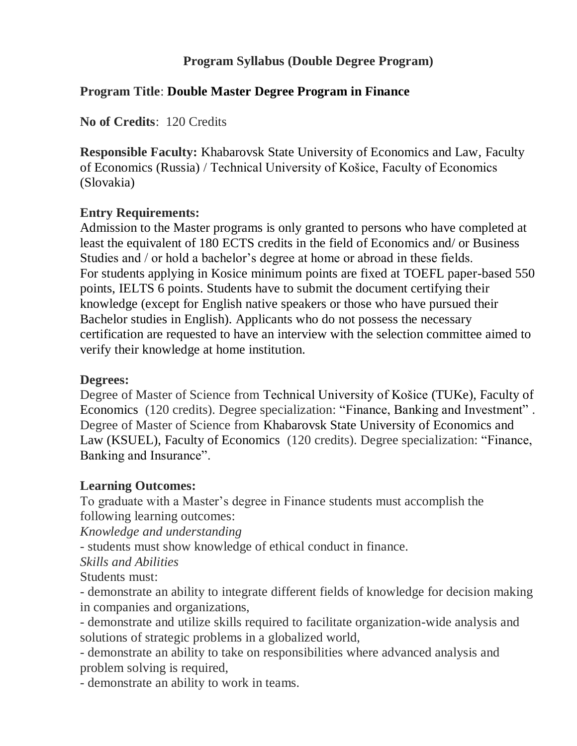## **Program Syllabus (Double Degree Program)**

## **Program Title**: **Double Master Degree Program in Finance**

**No of Credits**: 120 Credits

**Responsible Faculty:** Khabarovsk State University of Economics and Law, Faculty of Economics (Russia) / Technical University of Košice, Faculty of Economics (Slovakia)

## **Entry Requirements:**

Admission to the Master programs is only granted to persons who have completed at least the equivalent of 180 ECTS credits in the field of Economics and/ or Business Studies and / or hold a bachelor's degree at home or abroad in these fields. For students applying in Kosice minimum points are fixed at TOEFL paper-based 550 points, IELTS 6 points. Students have to submit the document certifying their knowledge (except for English native speakers or those who have pursued their Bachelor studies in English). Applicants who do not possess the necessary certification are requested to have an interview with the selection committee aimed to verify their knowledge at home institution.

#### **Degrees:**

Degree of Master of Science from Technical University of Košice (TUKe), Faculty of Economics (120 credits). Degree specialization: "Finance, Banking and Investment" . Degree of Master of Science from Khabarovsk State University of Economics and Law (KSUEL), Faculty of Economics (120 credits). Degree specialization: "Finance, Banking and Insurance".

#### **Learning Outcomes:**

To graduate with a Master's degree in Finance students must accomplish the following learning outcomes:

*Knowledge and understanding*

- students must show knowledge of ethical conduct in finance.

*Skills and Abilities*

Students must:

- demonstrate an ability to integrate different fields of knowledge for decision making in companies and organizations,

- demonstrate and utilize skills required to facilitate organization-wide analysis and solutions of strategic problems in a globalized world,

- demonstrate an ability to take on responsibilities where advanced analysis and problem solving is required,

- demonstrate an ability to work in teams.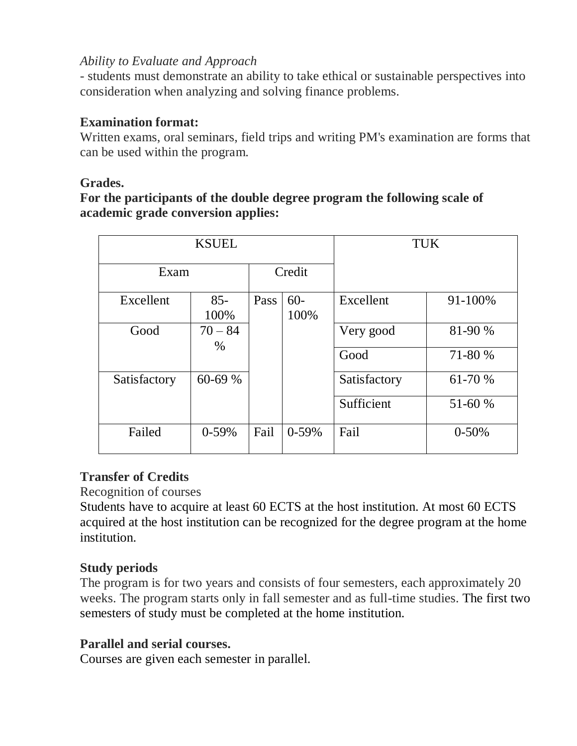#### *Ability to Evaluate and Approach*

- students must demonstrate an ability to take ethical or sustainable perspectives into consideration when analyzing and solving finance problems.

#### **Examination format:**

Written exams, oral seminars, field trips and writing PM's examination are forms that can be used within the program.

#### **Grades.**

## **For the participants of the double degree program the following scale of academic grade conversion applies:**

| <b>KSUEL</b> |                   |        |                | <b>TUK</b>   |           |
|--------------|-------------------|--------|----------------|--------------|-----------|
| Exam         |                   | Credit |                |              |           |
| Excellent    | $85 -$<br>100%    | Pass   | $60 -$<br>100% | Excellent    | 91-100%   |
| Good         | $70 - 84$<br>$\%$ |        |                | Very good    | 81-90 %   |
|              |                   |        |                | Good         | 71-80 %   |
| Satisfactory | 60-69 %           |        |                | Satisfactory | 61-70 %   |
|              |                   |        |                | Sufficient   | 51-60 %   |
| Failed       | $0-59%$           | Fail   | $0-59%$        | Fail         | $0 - 50%$ |

## **Transfer of Credits**

Recognition of courses

Students have to acquire at least 60 ECTS at the host institution. At most 60 ECTS acquired at the host institution can be recognized for the degree program at the home institution.

## **Study periods**

The program is for two years and consists of four semesters, each approximately 20 weeks. The program starts only in fall semester and as full-time studies. The first two semesters of study must be completed at the home institution.

## **Parallel and serial courses.**

Courses are given each semester in parallel.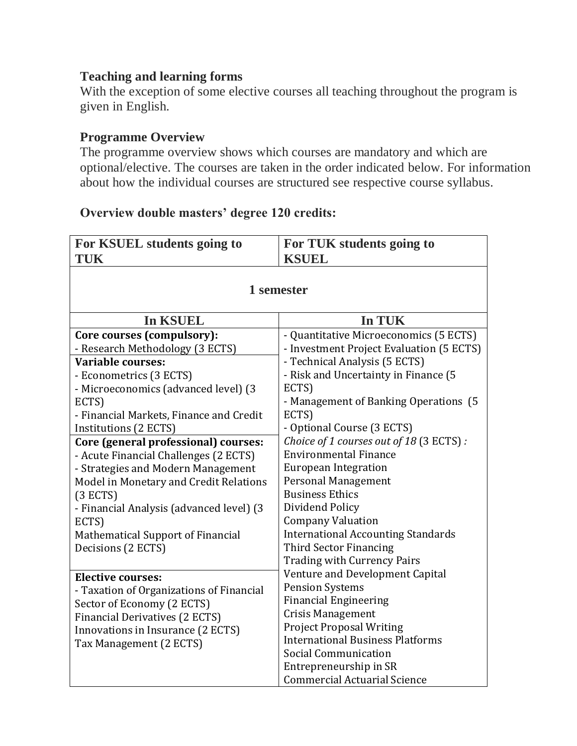#### **Teaching and learning forms**

With the exception of some elective courses all teaching throughout the program is given in English.

# **Programme Overview**

The programme overview shows which courses are mandatory and which are optional/elective. The courses are taken in the order indicated below. For information about how the individual courses are structured see respective course syllabus.

#### **Overview double masters' degree 120 credits:**

| For KSUEL students going to | For TUK students going to |
|-----------------------------|---------------------------|
| TUK                         | <b>KSUEL</b>              |
|                             |                           |

| 1 semester                                                                                                                                                                                                                                        |                                                                                                                                                                                                                                                                                                                                                                                                                                                                                                                                                                                                                                                                                                      |  |  |  |  |
|---------------------------------------------------------------------------------------------------------------------------------------------------------------------------------------------------------------------------------------------------|------------------------------------------------------------------------------------------------------------------------------------------------------------------------------------------------------------------------------------------------------------------------------------------------------------------------------------------------------------------------------------------------------------------------------------------------------------------------------------------------------------------------------------------------------------------------------------------------------------------------------------------------------------------------------------------------------|--|--|--|--|
| <b>In KSUEL</b>                                                                                                                                                                                                                                   | In TUK                                                                                                                                                                                                                                                                                                                                                                                                                                                                                                                                                                                                                                                                                               |  |  |  |  |
| Core courses (compulsory):<br>- Research Methodology (3 ECTS)<br>Variable courses:<br>- Econometrics (3 ECTS)<br>- Microeconomics (advanced level) (3                                                                                             | - Quantitative Microeconomics (5 ECTS)<br>- Investment Project Evaluation (5 ECTS)<br>- Technical Analysis (5 ECTS)<br>- Risk and Uncertainty in Finance (5<br>ECTS)                                                                                                                                                                                                                                                                                                                                                                                                                                                                                                                                 |  |  |  |  |
| ECTS)<br>- Financial Markets, Finance and Credit<br>Institutions (2 ECTS)<br>Core (general professional) courses:                                                                                                                                 | - Management of Banking Operations (5)<br>ECTS)<br>- Optional Course (3 ECTS)<br>Choice of 1 courses out of 18 (3 ECTS):<br><b>Environmental Finance</b><br><b>European Integration</b><br>Personal Management<br><b>Business Ethics</b><br>Dividend Policy<br><b>Company Valuation</b><br><b>International Accounting Standards</b><br>Third Sector Financing<br><b>Trading with Currency Pairs</b><br>Venture and Development Capital<br><b>Pension Systems</b><br><b>Financial Engineering</b><br><b>Crisis Management</b><br><b>Project Proposal Writing</b><br><b>International Business Platforms</b><br>Social Communication<br>Entrepreneurship in SR<br><b>Commercial Actuarial Science</b> |  |  |  |  |
| - Acute Financial Challenges (2 ECTS)<br>- Strategies and Modern Management<br>Model in Monetary and Credit Relations<br>(3 ECTS)<br>- Financial Analysis (advanced level) (3<br>ECTS)<br>Mathematical Support of Financial<br>Decisions (2 ECTS) |                                                                                                                                                                                                                                                                                                                                                                                                                                                                                                                                                                                                                                                                                                      |  |  |  |  |
| <b>Elective courses:</b><br>- Taxation of Organizations of Financial<br>Sector of Economy (2 ECTS)<br>Financial Derivatives (2 ECTS)<br>Innovations in Insurance (2 ECTS)<br>Tax Management (2 ECTS)                                              |                                                                                                                                                                                                                                                                                                                                                                                                                                                                                                                                                                                                                                                                                                      |  |  |  |  |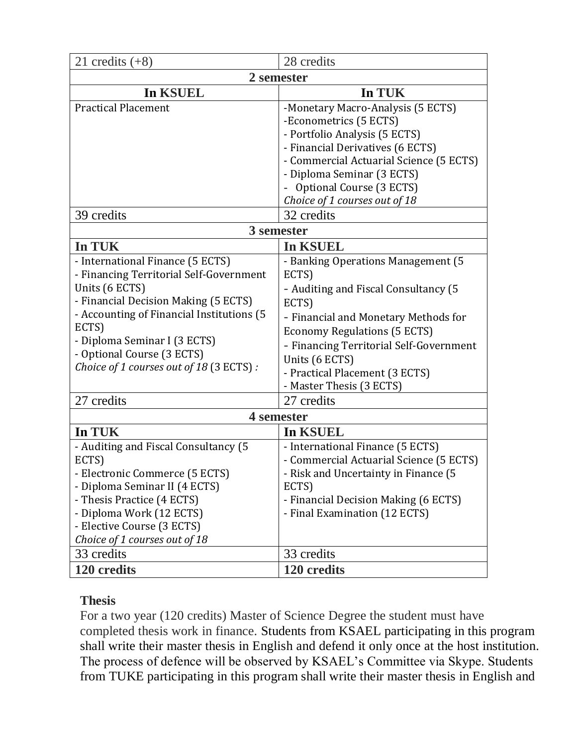| 21 credits $(+8)$                                                                                                                                                                                                                                                                                                  | 28 credits                                                                                                                                                                                                                                                                                                            |  |  |  |  |
|--------------------------------------------------------------------------------------------------------------------------------------------------------------------------------------------------------------------------------------------------------------------------------------------------------------------|-----------------------------------------------------------------------------------------------------------------------------------------------------------------------------------------------------------------------------------------------------------------------------------------------------------------------|--|--|--|--|
| 2 semester                                                                                                                                                                                                                                                                                                         |                                                                                                                                                                                                                                                                                                                       |  |  |  |  |
| In KSUEL                                                                                                                                                                                                                                                                                                           | In TUK                                                                                                                                                                                                                                                                                                                |  |  |  |  |
| <b>Practical Placement</b>                                                                                                                                                                                                                                                                                         | -Monetary Macro-Analysis (5 ECTS)<br>-Econometrics (5 ECTS)<br>- Portfolio Analysis (5 ECTS)<br>- Financial Derivatives (6 ECTS)<br>- Commercial Actuarial Science (5 ECTS)<br>- Diploma Seminar (3 ECTS)<br>Optional Course (3 ECTS)<br>Choice of 1 courses out of 18                                                |  |  |  |  |
| 39 credits                                                                                                                                                                                                                                                                                                         | 32 credits                                                                                                                                                                                                                                                                                                            |  |  |  |  |
| 3 semester                                                                                                                                                                                                                                                                                                         |                                                                                                                                                                                                                                                                                                                       |  |  |  |  |
| In TUK                                                                                                                                                                                                                                                                                                             | In KSUEL                                                                                                                                                                                                                                                                                                              |  |  |  |  |
| - International Finance (5 ECTS)<br>- Financing Territorial Self-Government<br>Units (6 ECTS)<br>- Financial Decision Making (5 ECTS)<br>- Accounting of Financial Institutions (5<br>ECTS)<br>- Diploma Seminar I (3 ECTS)<br>- Optional Course (3 ECTS)<br>Choice of 1 courses out of 18 (3 ECTS):<br>27 credits | - Banking Operations Management (5<br>ECTS)<br>- Auditing and Fiscal Consultancy (5)<br>ECTS)<br>- Financial and Monetary Methods for<br><b>Economy Regulations (5 ECTS)</b><br>- Financing Territorial Self-Government<br>Units (6 ECTS)<br>- Practical Placement (3 ECTS)<br>- Master Thesis (3 ECTS)<br>27 credits |  |  |  |  |
| 4 semester                                                                                                                                                                                                                                                                                                         |                                                                                                                                                                                                                                                                                                                       |  |  |  |  |
| In TUK                                                                                                                                                                                                                                                                                                             | In KSUEL                                                                                                                                                                                                                                                                                                              |  |  |  |  |
| - Auditing and Fiscal Consultancy (5<br>ECTS)<br>Electronic Commerce (5 ECTS)<br>- Diploma Seminar II (4 ECTS)<br>- Thesis Practice (4 ECTS)<br>- Diploma Work (12 ECTS)<br>- Elective Course (3 ECTS)<br>Choice of 1 courses out of 18                                                                            | - International Finance (5 ECTS)<br>- Commercial Actuarial Science (5 ECTS)<br>Risk and Uncertainty in Finance (5<br>ECTS)<br>- Financial Decision Making (6 ECTS)<br>- Final Examination (12 ECTS)                                                                                                                   |  |  |  |  |
| 33 credits                                                                                                                                                                                                                                                                                                         | 33 credits                                                                                                                                                                                                                                                                                                            |  |  |  |  |
| 120 credits                                                                                                                                                                                                                                                                                                        | 120 credits                                                                                                                                                                                                                                                                                                           |  |  |  |  |

## **Thesis**

For a two year (120 credits) Master of Science Degree the student must have completed thesis work in finance. Students from KSAEL participating in this program shall write their master thesis in English and defend it only once at the host institution. The process of defence will be observed by KSAEL's Committee via Skype. Students from TUKE participating in this program shall write their master thesis in English and